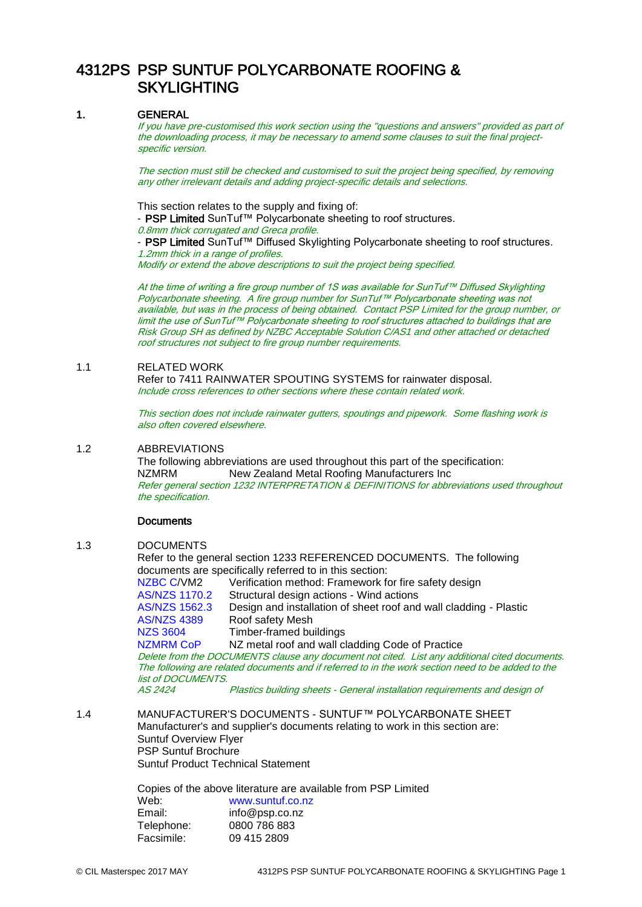# 4312PS PSP SUNTUF POLYCARBONATE ROOFING & **SKYLIGHTING**

# 1. GENERAL

If you have pre-customised this work section using the "questions and answers" provided as part of the downloading process, it may be necessary to amend some clauses to suit the final projectspecific version.

The section must still be checked and customised to suit the project being specified, by removing any other irrelevant details and adding project-specific details and selections.

This section relates to the supply and fixing of:

- PSP Limited SunTuf™ Polycarbonate sheeting to roof structures.

0.8mm thick corrugated and Greca profile.

- PSP Limited SunTuf™ Diffused Skylighting Polycarbonate sheeting to roof structures. 1.2mm thick in a range of profiles.

Modify or extend the above descriptions to suit the project being specified.

At the time of writing a fire group number of 1S was available for SunTuf™ Diffused Skylighting Polycarbonate sheeting. A fire group number for SunTuf™ Polycarbonate sheeting was not available, but was in the process of being obtained. Contact PSP Limited for the group number, or limit the use of SunTuf™ Polycarbonate sheeting to roof structures attached to buildings that are Risk Group SH as defined by NZBC Acceptable Solution C/AS1 and other attached or detached roof structures not subject to fire group number requirements.

# 1.1 RELATED WORK

Refer to 7411 RAINWATER SPOUTING SYSTEMS for rainwater disposal. Include cross references to other sections where these contain related work.

This section does not include rainwater gutters, spoutings and pipework. Some flashing work is also often covered elsewhere.

# 1.2 ABBREVIATIONS

The following abbreviations are used throughout this part of the specification: NZMRM New Zealand Metal Roofing Manufacturers Inc Refer general section 1232 INTERPRETATION & DEFINITIONS for abbreviations used throughout the specification.

# **Documents**

1.3 DOCUMENTS

Refer to the general section 1233 REFERENCED DOCUMENTS. The following documents are specifically referred to in this section:

[NZBC C/](http://www.masterspec.co.nz/redirect.aspx?pl=224)VM2 Verification method: Framework for fire safety design [AS/NZS 1170.2](http://www.masterspec.co.nz/redirect.aspx?pl=1110) Structural design actions - Wind actions [AS/NZS 1562.3](http://www.masterspec.co.nz/redirect.aspx?pl=624) Design and installation of sheet roof and wall cladding - Plastic [AS/NZS 4389](http://www.masterspec.co.nz/redirect.aspx?pl=923) Roof safety Mesh [NZS 3604](http://www.masterspec.co.nz/redirect.aspx?pl=301) Timber-framed buildings<br>NZMRM CoP NZ metal roof and wall c NZ metal roof and wall cladding Code of Practice

Delete from the DOCUMENTS clause any document not cited. List any additional cited documents. The following are related documents and if referred to in the work section need to be added to the list of DOCUMENTS.

AS 2424 Plastics building sheets - General installation requirements and design of

1.4 MANUFACTURER'S DOCUMENTS - SUNTUF™ POLYCARBONATE SHEET Manufacturer's and supplier's documents relating to work in this section are: Suntuf Overview Flyer PSP Suntuf Brochure Suntuf Product Technical Statement

> Copies of the above literature are available from PSP Limited Web: [www.suntuf.co.nz](http://www.suntuf.co.nz/) Email: info@psp.co.nz Telephone: 0800 786 883 Facsimile: 09 415 2809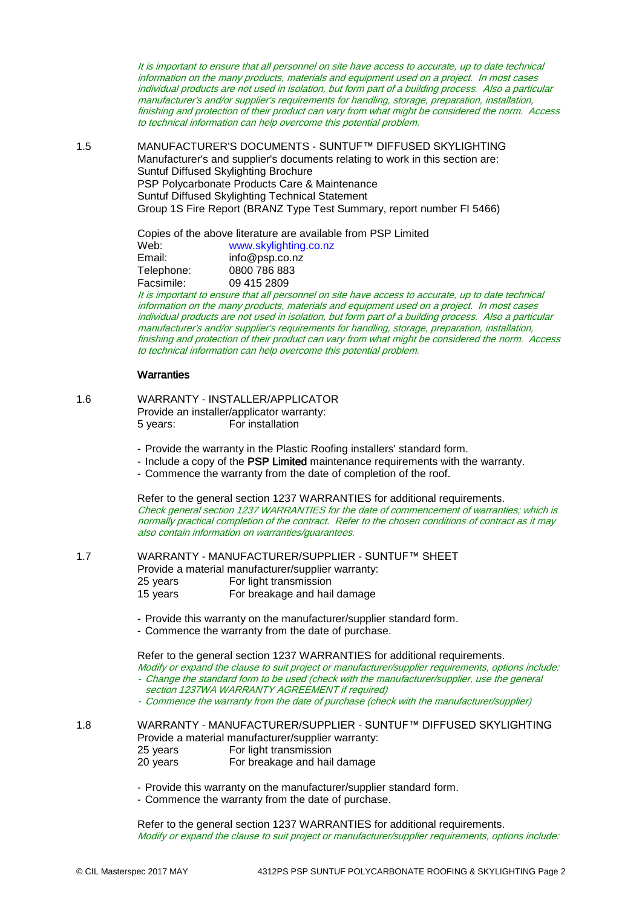It is important to ensure that all personnel on site have access to accurate, up to date technical information on the many products, materials and equipment used on a project. In most cases individual products are not used in isolation, but form part of a building process. Also a particular manufacturer's and/or supplier's requirements for handling, storage, preparation, installation, finishing and protection of their product can vary from what might be considered the norm. Access to technical information can help overcome this potential problem.

1.5 MANUFACTURER'S DOCUMENTS - SUNTUF™ DIFFUSED SKYLIGHTING Manufacturer's and supplier's documents relating to work in this section are: Suntuf Diffused Skylighting Brochure PSP Polycarbonate Products Care & Maintenance Suntuf Diffused Skylighting Technical Statement Group 1S Fire Report (BRANZ Type Test Summary, report number FI 5466)

> Copies of the above literature are available from PSP Limited Web: [www.skylighting.co.nz](http://www.skylighting.co.nz/) Email: info@psp.co.nz Telephone: 0800 786 883 Facsimile: 09 415 2809

It is important to ensure that all personnel on site have access to accurate, up to date technical information on the many products, materials and equipment used on a project. In most cases individual products are not used in isolation, but form part of a building process. Also a particular manufacturer's and/or supplier's requirements for handling, storage, preparation, installation, finishing and protection of their product can vary from what might be considered the norm. Access to technical information can help overcome this potential problem.

# **Warranties**

1.6 WARRANTY - INSTALLER/APPLICATOR Provide an installer/applicator warranty: 5 years: For installation

- Provide the warranty in the Plastic Roofing installers' standard form.

- Include a copy of the PSP Limited maintenance requirements with the warranty.

- Commence the warranty from the date of completion of the roof.

Refer to the general section 1237 WARRANTIES for additional requirements. Check general section 1237 WARRANTIES for the date of commencement of warranties; which is normally practical completion of the contract. Refer to the chosen conditions of contract as it may also contain information on warranties/guarantees.

1.7 WARRANTY - MANUFACTURER/SUPPLIER - SUNTUF™ SHEET Provide a material manufacturer/supplier warranty:

- 25 years For light transmission
- 15 years For breakage and hail damage
- Provide this warranty on the manufacturer/supplier standard form.
- Commence the warranty from the date of purchase.

Refer to the general section 1237 WARRANTIES for additional requirements.

Modify or expand the clause to suit project or manufacturer/supplier requirements, options include: - Change the standard form to be used (check with the manufacturer/supplier, use the general section 1237WA WARRANTY AGREEMENT if required)

- Commence the warranty from the date of purchase (check with the manufacturer/supplier)

1.8 WARRANTY - MANUFACTURER/SUPPLIER - SUNTUF™ DIFFUSED SKYLIGHTING Provide a material manufacturer/supplier warranty: 25 years For light transmission 20 years For breakage and hail damage

- Provide this warranty on the manufacturer/supplier standard form.

- Commence the warranty from the date of purchase.

Refer to the general section 1237 WARRANTIES for additional requirements. Modify or expand the clause to suit project or manufacturer/supplier requirements, options include: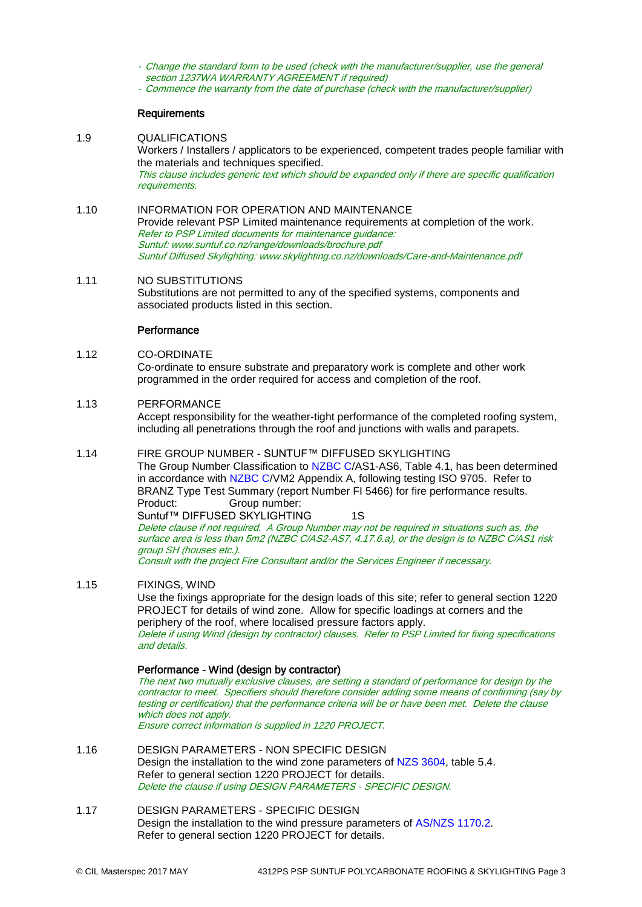- Change the standard form to be used (check with the manufacturer/supplier, use the general section 1237WA WARRANTY AGREEMENT if required)
- Commence the warranty from the date of purchase (check with the manufacturer/supplier)

#### **Requirements**

- 1.9 QUALIFICATIONS Workers / Installers / applicators to be experienced, competent trades people familiar with the materials and techniques specified. This clause includes generic text which should be expanded only if there are specific qualification requirements.
- 1.10 INFORMATION FOR OPERATION AND MAINTENANCE Provide relevant PSP Limited maintenance requirements at completion of the work. Refer to PSP Limited documents for maintenance guidance: Suntuf[: www.suntuf.co.nz/range/downloads/brochure.pdf](http://www.suntuf.co.nz/range/downloads/brochure.pdf) Suntuf Diffused Skylighting[: www.skylighting.co.nz/downloads/Care-and-Maintenance.pdf](http://www.skylighting.co.nz/downloads/care-and-maintenance.pdf)

#### 1.11 NO SUBSTITUTIONS Substitutions are not permitted to any of the specified systems, components and associated products listed in this section.

# **Performance**

#### 1.12 CO-ORDINATE

Co-ordinate to ensure substrate and preparatory work is complete and other work programmed in the order required for access and completion of the roof.

#### 1.13 PERFORMANCE

Accept responsibility for the weather-tight performance of the completed roofing system, including all penetrations through the roof and junctions with walls and parapets.

### 1.14 FIRE GROUP NUMBER - SUNTUF™ DIFFUSED SKYLIGHTING

The Group Number Classification to [NZBC C/](http://www.masterspec.co.nz/redirect.aspx?pl=224)AS1-AS6, Table 4.1, has been determined in accordance with [NZBC C/](http://www.masterspec.co.nz/redirect.aspx?pl=224)VM2 Appendix A, following testing ISO 9705. Refer to BRANZ Type Test Summary (report Number FI 5466) for fire performance results. Product: Group number:

Suntuf™ DIFFUSED SKYLIGHTING 1S

Delete clause if not required. A Group Number may not be required in situations such as, the surface area is less than 5m2 [\(NZBC C/](http://www.masterspec.co.nz/redirect.aspx?pl=224)AS2-AS7, 4.17.6.a), or the design is t[o NZBC C/](http://www.masterspec.co.nz/redirect.aspx?pl=224)AS1 risk group SH (houses etc.).

Consult with the project Fire Consultant and/or the Services Engineer if necessary.

# 1.15 FIXINGS, WIND

Use the fixings appropriate for the design loads of this site; refer to general section 1220 PROJECT for details of wind zone. Allow for specific loadings at corners and the periphery of the roof, where localised pressure factors apply. Delete if using Wind (design by contractor) clauses. Refer to PSP Limited for fixing specifications and details.

Performance - Wind (design by contractor)

The next two mutually exclusive clauses, are setting a standard of performance for design by the contractor to meet. Specifiers should therefore consider adding some means of confirming (say by testing or certification) that the performance criteria will be or have been met. Delete the clause which does not apply.

Ensure correct information is supplied in 1220 PROJECT.

1.16 DESIGN PARAMETERS - NON SPECIFIC DESIGN Design the installation to the wind zone parameters of [NZS 3604,](http://www.masterspec.co.nz/redirect.aspx?pl=301) table 5.4. Refer to general section 1220 PROJECT for details. Delete the clause if using DESIGN PARAMETERS - SPECIFIC DESIGN.

1.17 DESIGN PARAMETERS - SPECIFIC DESIGN Design the installation to the wind pressure parameters of [AS/NZS 1170.2.](http://www.masterspec.co.nz/redirect.aspx?pl=1110) Refer to general section 1220 PROJECT for details.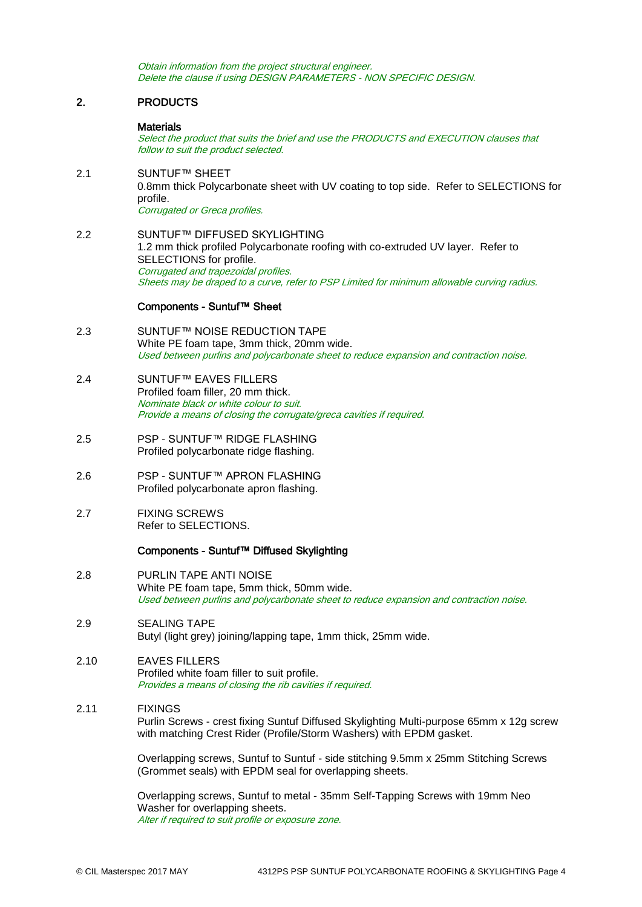Obtain information from the project structural engineer. Delete the clause if using DESIGN PARAMETERS - NON SPECIFIC DESIGN.

# 2. PRODUCTS

### **Materials**

Select the product that suits the brief and use the PRODUCTS and EXECUTION clauses that follow to suit the product selected.

- 2.1 SUNTUF™ SHEET 0.8mm thick Polycarbonate sheet with UV coating to top side. Refer to SELECTIONS for profile. Corrugated or Greca profiles.
- 2.2 SUNTUF™ DIFFUSED SKYLIGHTING 1.2 mm thick profiled Polycarbonate roofing with co-extruded UV layer. Refer to SELECTIONS for profile. Corrugated and trapezoidal profiles. Sheets may be draped to a curve, refer to PSP Limited for minimum allowable curving radius.

#### Components - Suntuf™ Sheet

- 2.3 SUNTUF™ NOISE REDUCTION TAPE White PE foam tape, 3mm thick, 20mm wide. Used between purlins and polycarbonate sheet to reduce expansion and contraction noise.
- 2.4 SUNTUF™ EAVES FILLERS Profiled foam filler, 20 mm thick. Nominate black or white colour to suit. Provide a means of closing the corrugate/greca cavities if required.
- 2.5 PSP SUNTUF™ RIDGE FLASHING Profiled polycarbonate ridge flashing.
- 2.6 PSP SUNTUF™ APRON FLASHING Profiled polycarbonate apron flashing.
- 2.7 FIXING SCREWS Refer to SELECTIONS.

#### Components - Suntuf™ Diffused Skylighting

- 2.8 PURLIN TAPE ANTI NOISE White PE foam tape, 5mm thick, 50mm wide. Used between purlins and polycarbonate sheet to reduce expansion and contraction noise.
- 2.9 SEALING TAPE Butyl (light grey) joining/lapping tape, 1mm thick, 25mm wide.
- 2.10 EAVES FILLERS Profiled white foam filler to suit profile. Provides a means of closing the rib cavities if required.

# 2.11 FIXINGS

Purlin Screws - crest fixing Suntuf Diffused Skylighting Multi-purpose 65mm x 12g screw with matching Crest Rider (Profile/Storm Washers) with EPDM gasket.

Overlapping screws, Suntuf to Suntuf - side stitching 9.5mm x 25mm Stitching Screws (Grommet seals) with EPDM seal for overlapping sheets.

Overlapping screws, Suntuf to metal - 35mm Self-Tapping Screws with 19mm Neo Washer for overlapping sheets. Alter if required to suit profile or exposure zone.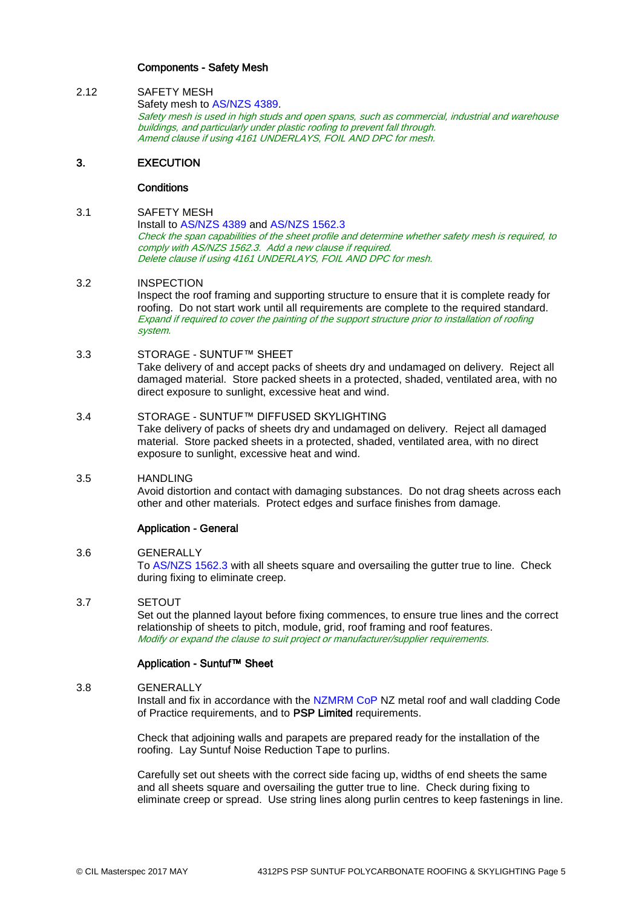# Components - Safety Mesh

2.12 SAFETY MESH Safety mesh to [AS/NZS 4389.](http://www.masterspec.co.nz/redirect.aspx?pl=923) Safety mesh is used in high studs and open spans, such as commercial, industrial and warehouse buildings, and particularly under plastic roofing to prevent fall through. Amend clause if using 4161 UNDERLAYS, FOIL AND DPC for mesh.

# 3. EXECUTION

#### **Conditions**

# 3.1 SAFETY MESH

Install to [AS/NZS 4389](http://www.masterspec.co.nz/redirect.aspx?pl=923) and [AS/NZS 1562.3](http://www.masterspec.co.nz/redirect.aspx?pl=624) Check the span capabilities of the sheet profile and determine whether safety mesh is required, to comply wit[h AS/NZS 1562.3.](http://www.masterspec.co.nz/redirect.aspx?pl=624) Add a new clause if required. Delete clause if using 4161 UNDERLAYS, FOIL AND DPC for mesh.

#### 3.2 INSPECTION

Inspect the roof framing and supporting structure to ensure that it is complete ready for roofing. Do not start work until all requirements are complete to the required standard. Expand if required to cover the painting of the support structure prior to installation of roofing system.

### 3.3 STORAGE - SUNTUF™ SHEET

Take delivery of and accept packs of sheets dry and undamaged on delivery. Reject all damaged material. Store packed sheets in a protected, shaded, ventilated area, with no direct exposure to sunlight, excessive heat and wind.

#### 3.4 STORAGE - SUNTUF™ DIFFUSED SKYLIGHTING

Take delivery of packs of sheets dry and undamaged on delivery. Reject all damaged material. Store packed sheets in a protected, shaded, ventilated area, with no direct exposure to sunlight, excessive heat and wind.

# 3.5 HANDLING

Avoid distortion and contact with damaging substances. Do not drag sheets across each other and other materials. Protect edges and surface finishes from damage.

# Application - General

# 3.6 GENERALLY

To [AS/NZS 1562.3](http://www.masterspec.co.nz/redirect.aspx?pl=624) with all sheets square and oversailing the gutter true to line. Check during fixing to eliminate creep.

# 3.7 SETOUT

Set out the planned layout before fixing commences, to ensure true lines and the correct relationship of sheets to pitch, module, grid, roof framing and roof features. Modify or expand the clause to suit project or manufacturer/supplier requirements.

# Application - Suntuf™ Sheet

# 3.8 GENERALLY

Install and fix in accordance with the [NZMRM CoP](http://www.masterspec.co.nz/redirect.aspx?pl=1236) NZ metal roof and wall cladding Code of Practice requirements, and to PSP Limited requirements.

Check that adjoining walls and parapets are prepared ready for the installation of the roofing. Lay Suntuf Noise Reduction Tape to purlins.

Carefully set out sheets with the correct side facing up, widths of end sheets the same and all sheets square and oversailing the gutter true to line. Check during fixing to eliminate creep or spread. Use string lines along purlin centres to keep fastenings in line.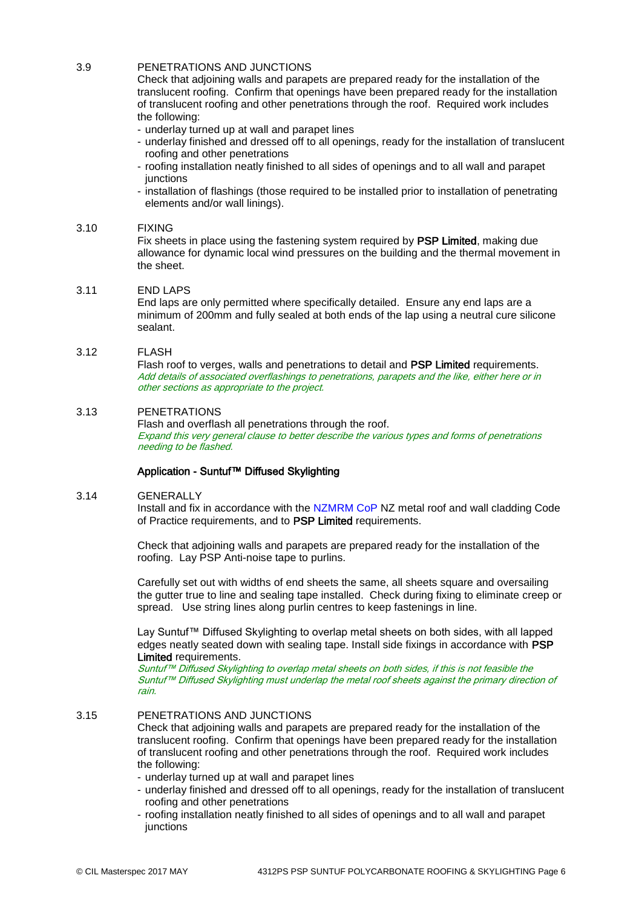# 3.9 PENETRATIONS AND JUNCTIONS

Check that adjoining walls and parapets are prepared ready for the installation of the translucent roofing. Confirm that openings have been prepared ready for the installation of translucent roofing and other penetrations through the roof. Required work includes the following:

- underlay turned up at wall and parapet lines
- underlay finished and dressed off to all openings, ready for the installation of translucent roofing and other penetrations
- roofing installation neatly finished to all sides of openings and to all wall and parapet junctions
- installation of flashings (those required to be installed prior to installation of penetrating elements and/or wall linings).

#### 3.10 FIXING

Fix sheets in place using the fastening system required by PSP Limited, making due allowance for dynamic local wind pressures on the building and the thermal movement in the sheet.

#### 3.11 END LAPS

End laps are only permitted where specifically detailed. Ensure any end laps are a minimum of 200mm and fully sealed at both ends of the lap using a neutral cure silicone sealant.

### 3.12 FLASH

Flash roof to verges, walls and penetrations to detail and PSP Limited requirements. Add details of associated overflashings to penetrations, parapets and the like, either here or in other sections as appropriate to the project.

# 3.13 PENETRATIONS

Flash and overflash all penetrations through the roof. Expand this very general clause to better describe the various types and forms of penetrations needing to be flashed.

# Application - Suntuf™ Diffused Skylighting

#### 3.14 GENERALLY

Install and fix in accordance with the [NZMRM CoP](http://www.masterspec.co.nz/redirect.aspx?pl=1236) NZ metal roof and wall cladding Code of Practice requirements, and to PSP Limited requirements.

Check that adjoining walls and parapets are prepared ready for the installation of the roofing. Lay PSP Anti-noise tape to purlins.

Carefully set out with widths of end sheets the same, all sheets square and oversailing the gutter true to line and sealing tape installed. Check during fixing to eliminate creep or spread. Use string lines along purlin centres to keep fastenings in line.

Lay Suntuf™ Diffused Skylighting to overlap metal sheets on both sides, with all lapped edges neatly seated down with sealing tape. Install side fixings in accordance with PSP Limited requirements.

Suntuf™ Diffused Skylighting to overlap metal sheets on both sides, if this is not feasible the Suntuf™ Diffused Skylighting must underlap the metal roof sheets against the primary direction of rain.

# 3.15 PENETRATIONS AND JUNCTIONS

Check that adjoining walls and parapets are prepared ready for the installation of the translucent roofing. Confirm that openings have been prepared ready for the installation of translucent roofing and other penetrations through the roof. Required work includes the following:

- underlay turned up at wall and parapet lines
- underlay finished and dressed off to all openings, ready for the installation of translucent roofing and other penetrations
- roofing installation neatly finished to all sides of openings and to all wall and parapet iunctions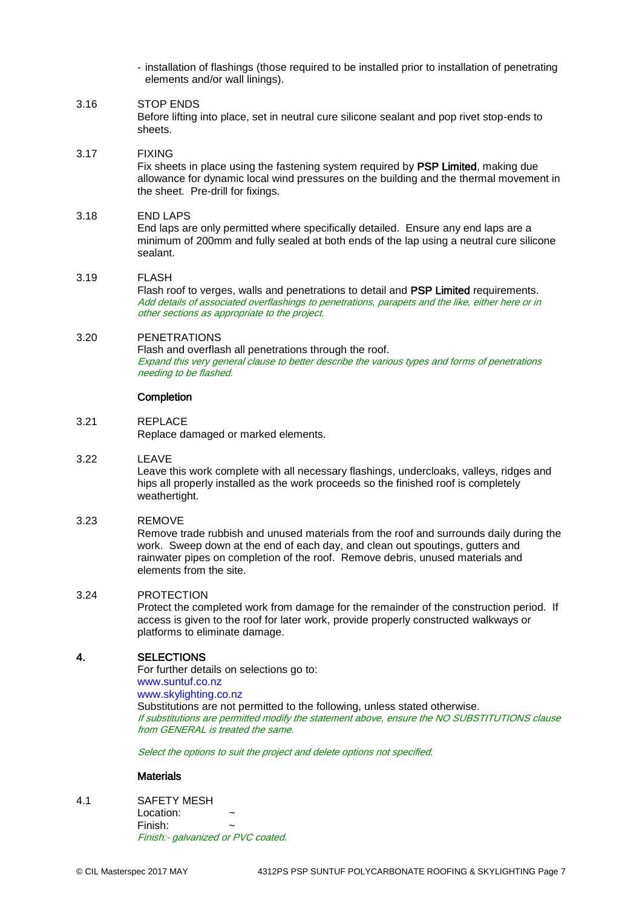- installation of flashings (those required to be installed prior to installation of penetrating elements and/or wall linings).

# 3.16 STOP ENDS

Before lifting into place, set in neutral cure silicone sealant and pop rivet stop-ends to sheets.

#### 3.17 FIXING

Fix sheets in place using the fastening system required by PSP Limited, making due allowance for dynamic local wind pressures on the building and the thermal movement in the sheet. Pre-drill for fixings.

#### 3.18 END LAPS

End laps are only permitted where specifically detailed. Ensure any end laps are a minimum of 200mm and fully sealed at both ends of the lap using a neutral cure silicone sealant.

#### 3.19 FLASH

Flash roof to verges, walls and penetrations to detail and PSP Limited requirements. Add details of associated overflashings to penetrations, parapets and the like, either here or in other sections as appropriate to the project.

# 3.20 PENETRATIONS

Flash and overflash all penetrations through the roof. Expand this very general clause to better describe the various types and forms of penetrations needing to be flashed.

#### **Completion**

# 3.21 REPLACE

Replace damaged or marked elements.

#### 3.22 LEAVE

Leave this work complete with all necessary flashings, undercloaks, valleys, ridges and hips all properly installed as the work proceeds so the finished roof is completely weathertight.

# 3.23 REMOVE

Remove trade rubbish and unused materials from the roof and surrounds daily during the work. Sweep down at the end of each day, and clean out spoutings, gutters and rainwater pipes on completion of the roof. Remove debris, unused materials and elements from the site.

# 3.24 PROTECTION

Protect the completed work from damage for the remainder of the construction period. If access is given to the roof for later work, provide properly constructed walkways or platforms to eliminate damage.

# 4. SELECTIONS

For further details on selections go to: [www.suntuf.co.nz](http://www.suntuf.co.nz/) [www.skylighting.co.nz](http://www.skylighting.co.nz/) Substitutions are not permitted to the following, unless stated otherwise. If substitutions are permitted modify the statement above, ensure the NO SUBSTITUTIONS clause from GENERAL is treated the same.

Select the options to suit the project and delete options not specified.

#### **Materials**

4.1 SAFETY MESH

Location: Finish: ~ Finish:- galvanized or PVC coated.